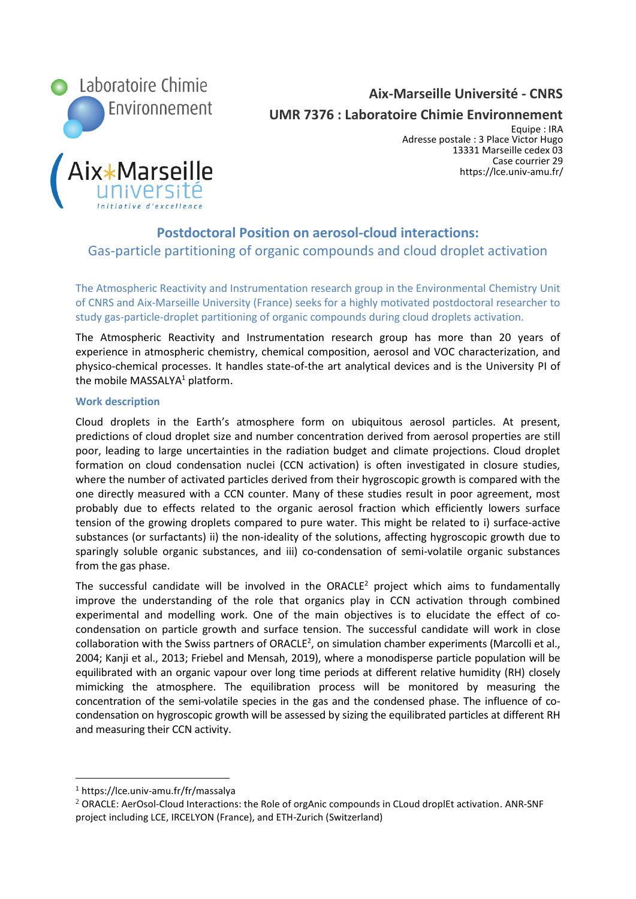

**Aix-Marseille Université - CNRS**

**UMR 7376 : Laboratoire Chimie Environnement**

Marseille

Equipe : IRA Adresse postale : 3 Place Victor Hugo 13331 Marseille cedex 03 Case courrier 29 https://lce.univ-amu.fr/

# **Postdoctoral Position on aerosol-cloud interactions:**  Gas-particle partitioning of organic compounds and cloud droplet activation

The Atmospheric Reactivity and Instrumentation research group in the Environmental Chemistry Unit of CNRS and Aix-Marseille University (France) seeks for a highly motivated postdoctoral researcher to study gas-particle-droplet partitioning of organic compounds during cloud droplets activation.

The Atmospheric Reactivity and Instrumentation research group has more than 20 years of experience in atmospheric chemistry, chemical composition, aerosol and VOC characterization, and physico-chemical processes. It handles state-of-the art analytical devices and is the University PI of the mobile MASSALYA $1$  platform.

# **Work description**

Cloud droplets in the Earth's atmosphere form on ubiquitous aerosol particles. At present, predictions of cloud droplet size and number concentration derived from aerosol properties are still poor, leading to large uncertainties in the radiation budget and climate projections. Cloud droplet formation on cloud condensation nuclei (CCN activation) is often investigated in closure studies, where the number of activated particles derived from their hygroscopic growth is compared with the one directly measured with a CCN counter. Many of these studies result in poor agreement, most probably due to effects related to the organic aerosol fraction which efficiently lowers surface tension of the growing droplets compared to pure water. This might be related to i) surface-active substances (or surfactants) ii) the non-ideality of the solutions, affecting hygroscopic growth due to sparingly soluble organic substances, and iii) co-condensation of semi-volatile organic substances from the gas phase.

The successful candidate will be involved in the ORACLE<sup>2</sup> project which aims to fundamentally improve the understanding of the role that organics play in CCN activation through combined experimental and modelling work. One of the main objectives is to elucidate the effect of cocondensation on particle growth and surface tension. The successful candidate will work in close collaboration with the Swiss partners of ORACLE<sup>2</sup>, on simulation chamber experiments (Marcolli et al., 2004; Kanji et al., 2013; Friebel and Mensah, 2019), where a monodisperse particle population will be equilibrated with an organic vapour over long time periods at different relative humidity (RH) closely mimicking the atmosphere. The equilibration process will be monitored by measuring the concentration of the semi-volatile species in the gas and the condensed phase. The influence of cocondensation on hygroscopic growth will be assessed by sizing the equilibrated particles at different RH and measuring their CCN activity.

<sup>1</sup> https://lce.univ-amu.fr/fr/massalya

<sup>&</sup>lt;sup>2</sup> ORACLE: AerOsol-Cloud Interactions: the Role of orgAnic compounds in CLoud droplEt activation. ANR-SNF project including LCE, IRCELYON (France), and ETH-Zurich (Switzerland)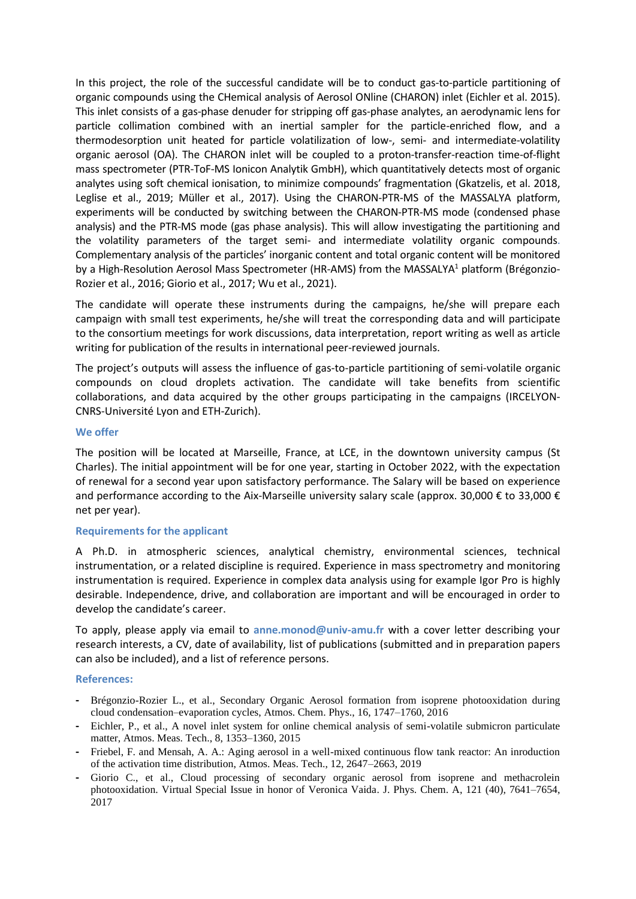In this project, the role of the successful candidate will be to conduct gas-to-particle partitioning of organic compounds using the CHemical analysis of Aerosol ONline (CHARON) inlet (Eichler et al. 2015). This inlet consists of a gas-phase denuder for stripping off gas-phase analytes, an aerodynamic lens for particle collimation combined with an inertial sampler for the particle-enriched flow, and a thermodesorption unit heated for particle volatilization of low-, semi- and intermediate-volatility organic aerosol (OA). The CHARON inlet will be coupled to a proton-transfer-reaction time-of-flight mass spectrometer (PTR-ToF-MS Ionicon Analytik GmbH), which quantitatively detects most of organic analytes using soft chemical ionisation, to minimize compounds' fragmentation (Gkatzelis, et al. 2018, Leglise et al., 2019; Müller et al., 2017). Using the CHARON-PTR-MS of the MASSALYA platform, experiments will be conducted by switching between the CHARON-PTR-MS mode (condensed phase analysis) and the PTR-MS mode (gas phase analysis). This will allow investigating the partitioning and the volatility parameters of the target semi- and intermediate volatility organic compounds. Complementary analysis of the particles' inorganic content and total organic content will be monitored by a High-Resolution Aerosol Mass Spectrometer (HR-AMS) from the MASSALYA<sup>1</sup> platform (Brégonzio-Rozier et al., 2016; Giorio et al., 2017; Wu et al., 2021).

The candidate will operate these instruments during the campaigns, he/she will prepare each campaign with small test experiments, he/she will treat the corresponding data and will participate to the consortium meetings for work discussions, data interpretation, report writing as well as article writing for publication of the results in international peer-reviewed journals.

The project's outputs will assess the influence of gas-to-particle partitioning of semi-volatile organic compounds on cloud droplets activation. The candidate will take benefits from scientific collaborations, and data acquired by the other groups participating in the campaigns (IRCELYON-CNRS-Université Lyon and ETH-Zurich).

### **We offer**

The position will be located at Marseille, France, at LCE, in the downtown university campus (St Charles). The initial appointment will be for one year, starting in October 2022, with the expectation of renewal for a second year upon satisfactory performance. The Salary will be based on experience and performance according to the Aix-Marseille university salary scale (approx. 30,000 € to 33,000 € net per year).

#### **Requirements for the applicant**

A Ph.D. in atmospheric sciences, analytical chemistry, environmental sciences, technical instrumentation, or a related discipline is required. Experience in mass spectrometry and monitoring instrumentation is required. Experience in complex data analysis using for example Igor Pro is highly desirable. Independence, drive, and collaboration are important and will be encouraged in order to develop the candidate's career.

To apply, please apply via email to **anne.monod@univ-amu.fr** with a cover letter describing your research interests, a CV, date of availability, list of publications (submitted and in preparation papers can also be included), and a list of reference persons.

# **References:**

- **-** Brégonzio-Rozier L., et al., Secondary Organic Aerosol formation from isoprene photooxidation during cloud condensation–evaporation cycles, Atmos. Chem. Phys., 16, 1747–1760, 2016
- **-** Eichler, P., et al., A novel inlet system for online chemical analysis of semi-volatile submicron particulate matter, Atmos. Meas. Tech., 8, 1353–1360, 2015
- **-** Friebel, F. and Mensah, A. A.: Aging aerosol in a well-mixed continuous flow tank reactor: An inroduction of the activation time distribution, Atmos. Meas. Tech., 12, 2647–2663, 2019
- Giorio C., et al., Cloud processing of secondary organic aerosol from isoprene and methacrolein photooxidation. Virtual Special Issue in honor of Veronica Vaida. J. Phys. Chem. A, 121 (40), 7641–7654, 2017